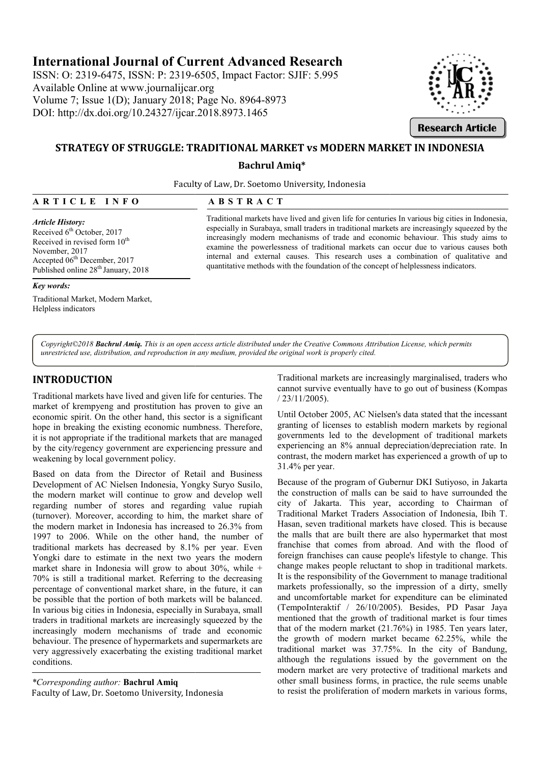# **International Journal of Current Advanced Research**

ISSN: O: 2319-6475, ISSN: P: 2319-6505, 6505, Impact Factor: SJIF: 5.995 Available Online at www.journalijcar.org Volume 7; Issue 1(D); January 2018; Page No. 8964-8973 DOI: http://dx.doi.org/10.24327/ijcar. http://dx.doi.org/10.24327/ijcar.2018.8973.1465



# **STRATEGY OF STRUGGLE: TRADITIONAL MARKET vs MODERN MARKET IN INDONESIA**

### **Bachrul Amiq\***

Faculty of Law, Dr. Soetomo University, Indonesia

| ARTICLE |  |
|---------|--|
|         |  |

#### *Article History:*

Received 6<sup>th</sup> October, 2017 Received in revised form  $10^{th}$ November, 2017 Accepted 06th December, 2017 Published online 28<sup>th</sup> January, 2018

*Key words:*

Traditional Market, Modern Market, Helpless indicators

Traditional markets have lived and given life for centuries In various big cities in Indonesia, especially in Surabaya, small traders in traditional markets are increasingly squeezed by the increasingly modern mechanisms of trade and economic behaviour. This study aims to examine the powerlessness of traditional markets can occur due to various causes both internal and external causes. This research uses a combination of qualitative and quantitative methods with the foundation of the concept of helplessness indicators. Traditional markets have lived and given life for centuries In various big cities in Indonesia, small in surabaya, small traders in traditional markets are increasingly squeezed by the examine the powerlessness of traditio

*Copyright©2018 Bachrul Amiq. This is an open access article distributed under the Creative Commons Attribution License, which permits an open access License, which unrestricted use, distribution, and reproduction in any medium, provided the original work is properly cited.*

# **INTRODUCTION**

Traditional markets have lived and given life for centuries. The market of krempyeng and prostitution has proven to give an economic spirit. On the other hand, this sector is a significant hope in breaking the existing economic numbness. Therefore, it is not appropriate if the traditional markets that are managed by the city/regency government are experiencing pressure and weakening by local government policy. it is not appropriate if the traditional markets that are managed<br>by the city/regency government are experiencing pressure and<br>weakening by local government policy.<br>Based on data from the Director of Retail and Business<br>De

Based on data from the Director of Retail and Business the modern market will continue to grow and develop well regarding number of stores and regarding value rupiah (turnover). Moreover, according to him, the market share of the modern market in Indonesia has increased to 26.3% from 1997 to 2006. While on the other hand, the number of traditional markets has decreased by 8.1% per year. Even Yongki dare to estimate in the next two years the modern market share in Indonesia will grow to about  $30\%$ , while  $+$ 70% is still a traditional market. Referring to the d decreasing percentage of conventional market share, in the future, it can be possible that the portion of both markets will be balanced. In various big cities in Indonesia, especially in Surabaya, small traders in traditional markets are increasingly squeezed by the increasingly modern mechanisms of trade and economic behaviour. The presence of hypermarkets and supermarkets are very aggressively exacerbating the existing traditional market conditions.

*\*Corresponding author:* **Bachrul Amiq** Faculty of Law, Dr. Soetomo University, Indonesia Traditional markets are increasingly marginalised, tra cannot survive eventually have to go out of business (Kompas / 23/11/2005).

Until October 2005, AC Nielsen's data stated that the incessant granting of licenses to establish modern markets by regional Until October 2005, AC Nielsen's data stated that the incessant granting of licenses to establish modern markets by regional governments led to the development of traditional markets experiencing an 8% annual depreciation/depreciation rate. In contrast, the modern market has experienced a growth of up to 31.4% per year.

Because of the program of Gubernur DKI Sutiyoso, in Jakarta the construction of malls can be said to have surrounded the city of Jakarta. This year, according to Chairman of Traditional Market Traders Association of Indonesia, Ibih T. Hasan, seven traditional markets have closed. This is because the malls that are built there are also hypermarket that most franchise that comes from abroad. And with the flood of foreign franchises can cause people's lifestyle to change. This change makes people reluctant to shop in traditional markets. It is the responsibility of the Government to manage traditional markets professionally, so the impression of a dirty, smelly and uncomfortable market for expenditure can be eliminated (TempoInteraktif / 26/10/2005). Besides, PD Pasar Jaya mentioned that the growth of traditional market is four times that of the modern market (21.76%) in 1985. Ten years later, the growth of modern market became 62.25%, while the traditional market was 37.75%. In the city of Bandung, although the regulations issued by the government on the modern market are very protective of traditional markets and other small business forms, in practice, the rule seems unable to resist the proliferation of modern markets in various forms, experiencing an 8% annual depreciation/depreciation rate. In contrast, the modern market has experienced a growth of up to 31.4% per year.<br>Because of the program of Gubernur DKI Sutiyoso, in Jakarta the construction of mal the responsibility of the Government to manage traditional<br>tets professionally, so the impression of a dirty, smelly<br>uncomfortable market for expenditure can be eliminated<br>npoInteraktif / 26/10/2005). Besides, PD Pasar Jay **Research Article**<br> **Research Article**<br> **Sity, Indonesia**<br> **Sity, Indonesia**<br> **Sity, Indonesia**<br> **Consearch analytical markets are increasingly squeczed by<br>
<b>Consearch analytical markets** can occur due to various cause be<br>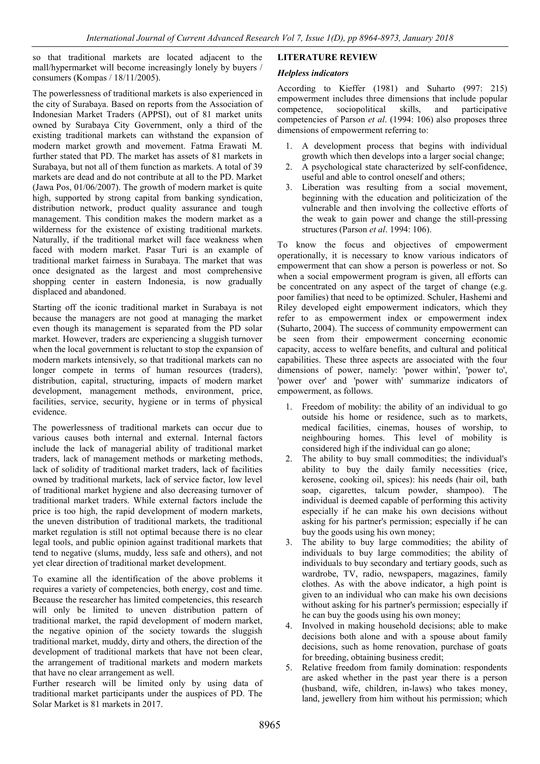so that traditional markets are located adjacent to the mall/hypermarket will become increasingly lonely by buyers / consumers (Kompas / 18/11/2005).

The powerlessness of traditional markets is also experienced in the city of Surabaya. Based on reports from the Association of Indonesian Market Traders (APPSI), out of 81 market units owned by Surabaya City Government, only a third of the existing traditional markets can withstand the expansion of modern market growth and movement. Fatma Erawati M. further stated that PD. The market has assets of 81 markets in Surabaya, but not all of them function as markets. A total of 39 markets are dead and do not contribute at all to the PD. Market (Jawa Pos, 01/06/2007). The growth of modern market is quite high, supported by strong capital from banking syndication, distribution network, product quality assurance and tough management. This condition makes the modern market as a wilderness for the existence of existing traditional markets. Naturally, if the traditional market will face weakness when faced with modern market. Pasar Turi is an example of traditional market fairness in Surabaya. The market that was once designated as the largest and most comprehensive shopping center in eastern Indonesia, is now gradually displaced and abandoned.

Starting off the iconic traditional market in Surabaya is not because the managers are not good at managing the market even though its management is separated from the PD solar market. However, traders are experiencing a sluggish turnover when the local government is reluctant to stop the expansion of modern markets intensively, so that traditional markets can no longer compete in terms of human resources (traders), distribution, capital, structuring, impacts of modern market development, management methods, environment, price, facilities, service, security, hygiene or in terms of physical evidence.

The powerlessness of traditional markets can occur due to various causes both internal and external. Internal factors include the lack of managerial ability of traditional market traders, lack of management methods or marketing methods, lack of solidity of traditional market traders, lack of facilities owned by traditional markets, lack of service factor, low level of traditional market hygiene and also decreasing turnover of traditional market traders. While external factors include the price is too high, the rapid development of modern markets, the uneven distribution of traditional markets, the traditional market regulation is still not optimal because there is no clear legal tools, and public opinion against traditional markets that tend to negative (slums, muddy, less safe and others), and not yet clear direction of traditional market development.

To examine all the identification of the above problems it requires a variety of competencies, both energy, cost and time. Because the researcher has limited competencies, this research will only be limited to uneven distribution pattern of traditional market, the rapid development of modern market, the negative opinion of the society towards the sluggish traditional market, muddy, dirty and others, the direction of the development of traditional markets that have not been clear, the arrangement of traditional markets and modern markets that have no clear arrangement as well.

Further research will be limited only by using data of traditional market participants under the auspices of PD. The Solar Market is 81 markets in 2017.

# **LITERATURE REVIEW**

# *Helpless indicators*

According to Kieffer (1981) and Suharto (997: 215) empowerment includes three dimensions that include popular competence, sociopolitical skills, and participative competencies of Parson *et al*. (1994: 106) also proposes three dimensions of empowerment referring to:

- 1. A development process that begins with individual growth which then develops into a larger social change;
- 2. A psychological state characterized by self-confidence, useful and able to control oneself and others;
- 3. Liberation was resulting from a social movement, beginning with the education and politicization of the vulnerable and then involving the collective efforts of the weak to gain power and change the still-pressing structures (Parson *et al*. 1994: 106).

To know the focus and objectives of empowerment operationally, it is necessary to know various indicators of empowerment that can show a person is powerless or not. So when a social empowerment program is given, all efforts can be concentrated on any aspect of the target of change (e.g. poor families) that need to be optimized. Schuler, Hashemi and Riley developed eight empowerment indicators, which they refer to as empowerment index or empowerment index (Suharto, 2004). The success of community empowerment can be seen from their empowerment concerning economic capacity, access to welfare benefits, and cultural and political capabilities. These three aspects are associated with the four dimensions of power, namely: 'power within', 'power to', 'power over' and 'power with' summarize indicators of empowerment, as follows.

- 1. Freedom of mobility: the ability of an individual to go outside his home or residence, such as to markets, medical facilities, cinemas, houses of worship, to neighbouring homes. This level of mobility is considered high if the individual can go alone;
- 2. The ability to buy small commodities; the individual's ability to buy the daily family necessities (rice, kerosene, cooking oil, spices): his needs (hair oil, bath soap, cigarettes, talcum powder, shampoo). The individual is deemed capable of performing this activity especially if he can make his own decisions without asking for his partner's permission; especially if he can buy the goods using his own money;
- 3. The ability to buy large commodities; the ability of individuals to buy large commodities; the ability of individuals to buy secondary and tertiary goods, such as wardrobe, TV, radio, newspapers, magazines, family clothes. As with the above indicator, a high point is given to an individual who can make his own decisions without asking for his partner's permission; especially if he can buy the goods using his own money;
- 4. Involved in making household decisions; able to make decisions both alone and with a spouse about family decisions, such as home renovation, purchase of goats for breeding, obtaining business credit;
- 5. Relative freedom from family domination: respondents are asked whether in the past year there is a person (husband, wife, children, in-laws) who takes money, land, jewellery from him without his permission; which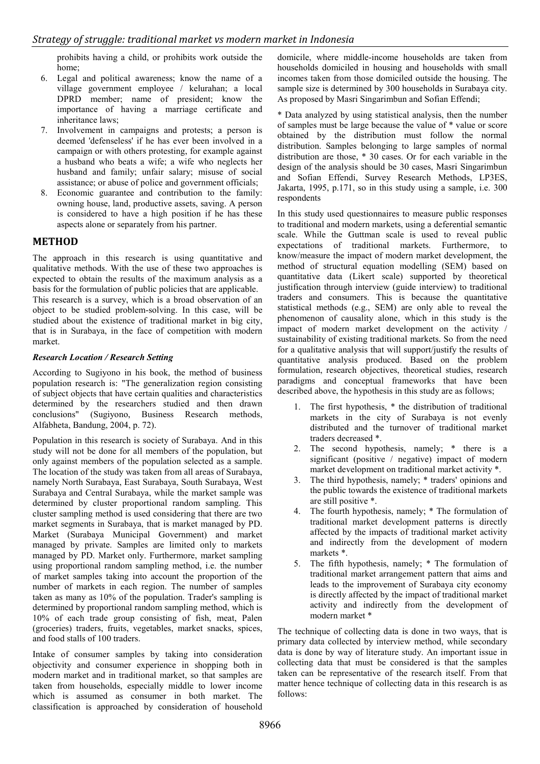prohibits having a child, or prohibits work outside the home;

- 6. Legal and political awareness; know the name of a village government employee / kelurahan; a local DPRD member; name of president; know the importance of having a marriage certificate and inheritance laws;
- 7. Involvement in campaigns and protests; a person is deemed 'defenseless' if he has ever been involved in a campaign or with others protesting, for example against a husband who beats a wife; a wife who neglects her husband and family; unfair salary; misuse of social assistance; or abuse of police and government officials;
- 8. Economic guarantee and contribution to the family: owning house, land, productive assets, saving. A person is considered to have a high position if he has these aspects alone or separately from his partner.

# **METHOD**

The approach in this research is using quantitative and qualitative methods. With the use of these two approaches is expected to obtain the results of the maximum analysis as a basis for the formulation of public policies that are applicable.

This research is a survey, which is a broad observation of an object to be studied problem-solving. In this case, will be studied about the existence of traditional market in big city, that is in Surabaya, in the face of competition with modern market.

### *Research Location / Research Setting*

According to Sugiyono in his book, the method of business population research is: "The generalization region consisting of subject objects that have certain qualities and characteristics determined by the researchers studied and then drawn conclusions" (Sugiyono, Business Research methods, Alfabheta, Bandung, 2004, p. 72).

Population in this research is society of Surabaya. And in this study will not be done for all members of the population, but only against members of the population selected as a sample. The location of the study was taken from all areas of Surabaya, namely North Surabaya, East Surabaya, South Surabaya, West Surabaya and Central Surabaya, while the market sample was determined by cluster proportional random sampling. This cluster sampling method is used considering that there are two market segments in Surabaya, that is market managed by PD. Market (Surabaya Municipal Government) and market managed by private. Samples are limited only to markets managed by PD. Market only. Furthermore, market sampling using proportional random sampling method, i.e. the number of market samples taking into account the proportion of the number of markets in each region. The number of samples taken as many as 10% of the population. Trader's sampling is determined by proportional random sampling method, which is 10% of each trade group consisting of fish, meat, Palen (groceries) traders, fruits, vegetables, market snacks, spices, and food stalls of 100 traders.

Intake of consumer samples by taking into consideration objectivity and consumer experience in shopping both in modern market and in traditional market, so that samples are taken from households, especially middle to lower income which is assumed as consumer in both market. The classification is approached by consideration of household

domicile, where middle-income households are taken from households domiciled in housing and households with small incomes taken from those domiciled outside the housing. The sample size is determined by 300 households in Surabaya city. As proposed by Masri Singarimbun and Sofian Effendi;

\* Data analyzed by using statistical analysis, then the number of samples must be large because the value of \* value or score obtained by the distribution must follow the normal distribution. Samples belonging to large samples of normal distribution are those, \* 30 cases. Or for each variable in the design of the analysis should be 30 cases, Masri Singarimbun and Sofian Effendi, Survey Research Methods, LP3ES, Jakarta, 1995, p.171, so in this study using a sample, i.e. 300 respondents

In this study used questionnaires to measure public responses to traditional and modern markets, using a deferential semantic scale. While the Guttman scale is used to reveal public expectations of traditional markets. Furthermore, to know/measure the impact of modern market development, the method of structural equation modelling (SEM) based on quantitative data (Likert scale) supported by theoretical justification through interview (guide interview) to traditional traders and consumers. This is because the quantitative statistical methods (e.g., SEM) are only able to reveal the phenomenon of causality alone, which in this study is the impact of modern market development on the activity / sustainability of existing traditional markets. So from the need for a qualitative analysis that will support/justify the results of quantitative analysis produced. Based on the problem formulation, research objectives, theoretical studies, research paradigms and conceptual frameworks that have been described above, the hypothesis in this study are as follows;

- 1. The first hypothesis, \* the distribution of traditional markets in the city of Surabaya is not evenly distributed and the turnover of traditional market traders decreased \*.
- 2. The second hypothesis, namely; \* there is a significant (positive / negative) impact of modern market development on traditional market activity \*.
- 3. The third hypothesis, namely; \* traders' opinions and the public towards the existence of traditional markets are still positive \*.
- 4. The fourth hypothesis, namely; \* The formulation of traditional market development patterns is directly affected by the impacts of traditional market activity and indirectly from the development of modern markets \*.
- 5. The fifth hypothesis, namely; \* The formulation of traditional market arrangement pattern that aims and leads to the improvement of Surabaya city economy is directly affected by the impact of traditional market activity and indirectly from the development of modern market \*

The technique of collecting data is done in two ways, that is primary data collected by interview method, while secondary data is done by way of literature study. An important issue in collecting data that must be considered is that the samples taken can be representative of the research itself. From that matter hence technique of collecting data in this research is as follows: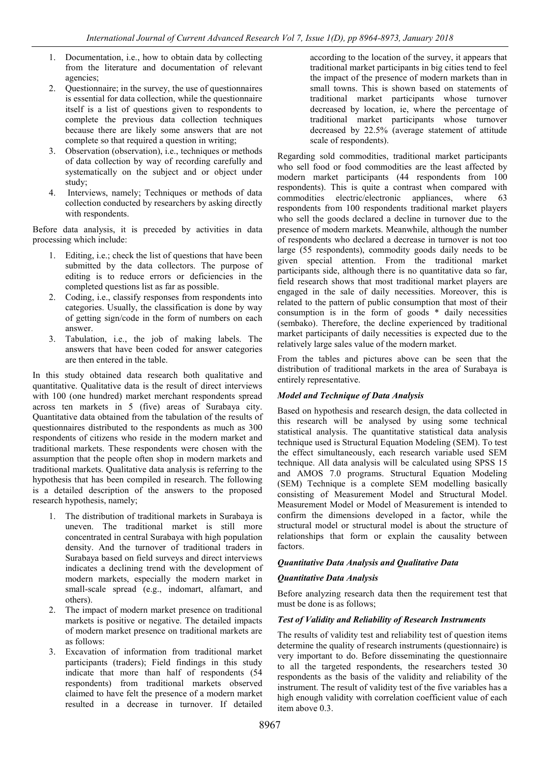- 1. Documentation, i.e., how to obtain data by collecting from the literature and documentation of relevant agencies;
- 2. Questionnaire; in the survey, the use of questionnaires is essential for data collection, while the questionnaire itself is a list of questions given to respondents to complete the previous data collection techniques because there are likely some answers that are not complete so that required a question in writing;
- 3. Observation (observation), i.e., techniques or methods of data collection by way of recording carefully and systematically on the subject and or object under study;
- 4. Interviews, namely; Techniques or methods of data collection conducted by researchers by asking directly with respondents.

Before data analysis, it is preceded by activities in data processing which include:

- 1. Editing, i.e.; check the list of questions that have been submitted by the data collectors. The purpose of editing is to reduce errors or deficiencies in the completed questions list as far as possible.
- 2. Coding, i.e., classify responses from respondents into categories. Usually, the classification is done by way of getting sign/code in the form of numbers on each answer.
- 3. Tabulation, i.e., the job of making labels. The answers that have been coded for answer categories are then entered in the table.

In this study obtained data research both qualitative and quantitative. Qualitative data is the result of direct interviews with 100 (one hundred) market merchant respondents spread across ten markets in 5 (five) areas of Surabaya city. Quantitative data obtained from the tabulation of the results of questionnaires distributed to the respondents as much as 300 respondents of citizens who reside in the modern market and traditional markets. These respondents were chosen with the assumption that the people often shop in modern markets and traditional markets. Qualitative data analysis is referring to the hypothesis that has been compiled in research. The following is a detailed description of the answers to the proposed research hypothesis, namely;

- 1. The distribution of traditional markets in Surabaya is uneven. The traditional market is still more concentrated in central Surabaya with high population density. And the turnover of traditional traders in Surabaya based on field surveys and direct interviews indicates a declining trend with the development of modern markets, especially the modern market in small-scale spread (e.g., indomart, alfamart, and others).
- 2. The impact of modern market presence on traditional markets is positive or negative. The detailed impacts of modern market presence on traditional markets are as follows:
- 3. Excavation of information from traditional market participants (traders); Field findings in this study indicate that more than half of respondents (54 respondents) from traditional markets observed claimed to have felt the presence of a modern market resulted in a decrease in turnover. If detailed

according to the location of the survey, it appears that traditional market participants in big cities tend to feel the impact of the presence of modern markets than in small towns. This is shown based on statements of traditional market participants whose turnover decreased by location, ie, where the percentage of traditional market participants whose turnover decreased by 22.5% (average statement of attitude scale of respondents).

Regarding sold commodities, traditional market participants who sell food or food commodities are the least affected by modern market participants (44 respondents from 100 respondents). This is quite a contrast when compared with commodities electric/electronic appliances, where 63 respondents from 100 respondents traditional market players who sell the goods declared a decline in turnover due to the presence of modern markets. Meanwhile, although the number of respondents who declared a decrease in turnover is not too large (55 respondents), commodity goods daily needs to be given special attention. From the traditional market participants side, although there is no quantitative data so far, field research shows that most traditional market players are engaged in the sale of daily necessities. Moreover, this is related to the pattern of public consumption that most of their consumption is in the form of goods \* daily necessities (sembako). Therefore, the decline experienced by traditional market participants of daily necessities is expected due to the relatively large sales value of the modern market.

From the tables and pictures above can be seen that the distribution of traditional markets in the area of Surabaya is entirely representative.

# *Model and Technique of Data Analysis*

Based on hypothesis and research design, the data collected in this research will be analysed by using some technical statistical analysis. The quantitative statistical data analysis technique used is Structural Equation Modeling (SEM). To test the effect simultaneously, each research variable used SEM technique. All data analysis will be calculated using SPSS 15 and AMOS 7.0 programs. Structural Equation Modeling (SEM) Technique is a complete SEM modelling basically consisting of Measurement Model and Structural Model. Measurement Model or Model of Measurement is intended to confirm the dimensions developed in a factor, while the structural model or structural model is about the structure of relationships that form or explain the causality between factors.

# *Quantitative Data Analysis and Qualitative Data*

# *Quantitative Data Analysis*

Before analyzing research data then the requirement test that must be done is as follows;

# *Test of Validity and Reliability of Research Instruments*

The results of validity test and reliability test of question items determine the quality of research instruments (questionnaire) is very important to do. Before disseminating the questionnaire to all the targeted respondents, the researchers tested 30 respondents as the basis of the validity and reliability of the instrument. The result of validity test of the five variables has a high enough validity with correlation coefficient value of each item above 0.3.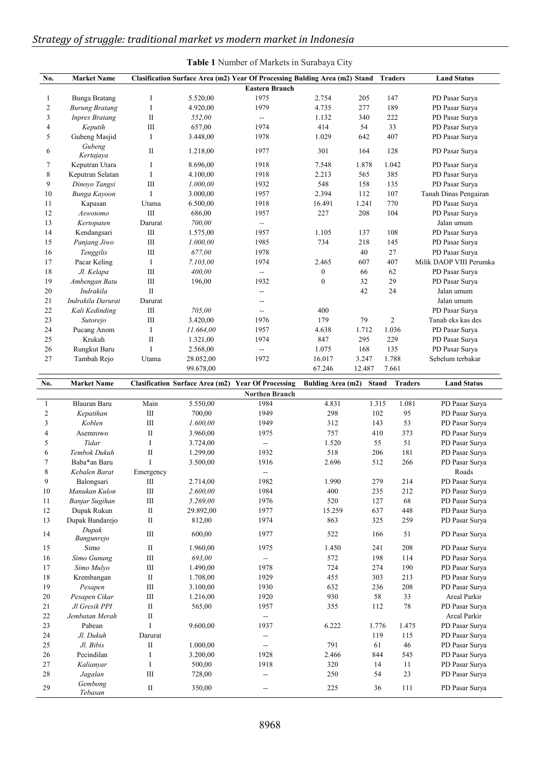| No.                      | <b>Market Name</b>          |                         |                                        | Clasification Surface Area (m2) Year Of Processing Bulding Area (m2) Stand<br><b>Eastern Branch</b> |                          |              | <b>Traders</b> | <b>Land Status</b>               |
|--------------------------|-----------------------------|-------------------------|----------------------------------------|-----------------------------------------------------------------------------------------------------|--------------------------|--------------|----------------|----------------------------------|
| 1                        | <b>Bunga Bratang</b>        | I                       | 5.520,00                               | 1975                                                                                                | 2.754                    | 205          | 147            | PD Pasar Surya                   |
| $\mathfrak{2}$           | <b>Burung Bratang</b>       | $\bf{I}$                | 4.920,00                               | 1979                                                                                                | 4.735                    | 277          | 189            | PD Pasar Surya                   |
| 3                        | <b>Inpres Bratang</b>       | $\mathbf{I}$            | 552,00                                 | --                                                                                                  | 1.132                    | 340          | 222            | PD Pasar Surya                   |
| $\overline{4}$           | Keputih                     | $\rm III$               | 657,00                                 | 1974                                                                                                | 414                      | 54           | 33             | PD Pasar Surya                   |
| 5                        | Gubeng Masjid               | $\bf{I}$                | 3.448,00                               | 1978                                                                                                | 1.029                    | 642          | 407            | PD Pasar Surya                   |
|                          | Gubeng                      |                         |                                        |                                                                                                     |                          |              |                |                                  |
| 6                        | Kertajaya                   | $\mathbf{I}$            | 1.218,00                               | 1977                                                                                                | 301                      | 164          | 128            | PD Pasar Surya                   |
| 7                        | Keputran Utara              | I                       | 8.696,00                               | 1918                                                                                                | 7.548                    | 1.878        | 1.042          | PD Pasar Surva                   |
| 8                        | Keputran Selatan            | $\bf I$                 | 4.100,00                               | 1918                                                                                                | 2.213                    | 565          | 385            | PD Pasar Surya                   |
| 9                        | Dinoyo Tangsi               | $\rm III$               | 1.000,00                               | 1932                                                                                                | 548                      | 158          | 135            | PD Pasar Surya                   |
| 10                       | Bunga Kayoon                | $\mathbf I$             | 3.000,00                               | 1957                                                                                                | 2.394                    | 112          | 107            | Tanah Dinas Pengairan            |
| 11                       | Kapasan                     | Utama                   | 6.500,00                               | 1918                                                                                                | 16.491                   | 1.241        | 770            | PD Pasar Surya                   |
| 12                       | Aswotomo                    | $\rm III$               | 686,00                                 | 1957                                                                                                | 227                      | 208          | 104            | PD Pasar Surya                   |
| 13                       | Kertopaten                  | Darurat                 | 700,00                                 | $\overline{\phantom{a}}$                                                                            |                          |              |                | Jalan umum                       |
| 14                       | Kendangsari                 | III                     | 1.575,00                               | 1957                                                                                                | 1.105                    | 137          | 108            | PD Pasar Surya                   |
| 15                       | Panjang Jiwo                | III                     | 1.000,00                               | 1985                                                                                                | 734                      | 218          | 145            | PD Pasar Surya                   |
| 16                       | Tenggilis                   | $\rm III$               | 677,00                                 | 1978                                                                                                |                          | 40           | 27             | PD Pasar Surya                   |
| 17                       | Pacar Keling                | $\bf{I}$                | 7.103,00                               | 1974                                                                                                | 2.465                    | 607          | 407            | Milik DAOP VIII Perumka          |
| 18                       | Jl. Kelapa                  | III                     | 400,00                                 | $\overline{a}$                                                                                      | $\boldsymbol{0}$         | 66           | 62             | PD Pasar Surva                   |
| 19                       | Ambengan Batu               | $\rm III$               | 196,00                                 | 1932                                                                                                | $\boldsymbol{0}$         | 32           | 29             | PD Pasar Surya                   |
| 20                       | Indrakila                   | $\mathbf{I}$            |                                        | $\overline{\phantom{a}}$                                                                            |                          | 42           | 24             | Jalan umum                       |
| 21                       | Indrakila Darurat           | Darurat                 |                                        |                                                                                                     |                          |              |                | Jalan umum                       |
| $22\,$                   | Kali Kedinding              | III                     | 705,00                                 | --                                                                                                  | 400                      |              |                | PD Pasar Surya                   |
| 23                       | Sutorejo                    | $\rm III$               | 3.420,00                               | 1976                                                                                                | 179                      | 79           | $\overline{2}$ | Tanah eks kas des                |
| 24                       | Pucang Anom<br>Krukah       | $\bf{I}$                | 11.664,00                              | 1957<br>1974                                                                                        | 4.638                    | 1.712        | 1.036          | PD Pasar Surya                   |
| 25<br>26                 |                             | $\rm II$<br>$\mathbf I$ | 1.321,00                               | $\overline{a}$                                                                                      | 847<br>1.075             | 295<br>168   | 229<br>135     | PD Pasar Surya<br>PD Pasar Surya |
| 27                       | Rungkut Baru<br>Tambah Rejo |                         | 2.568,00                               | 1972                                                                                                | 16.017                   | 3.247        | 1.788          | Sebelum terbakar                 |
|                          |                             | Utama                   | 28.052,00<br>99.678,00                 |                                                                                                     | 67.246                   | 12.487       | 7.661          |                                  |
|                          |                             |                         |                                        |                                                                                                     |                          |              |                |                                  |
|                          |                             |                         |                                        |                                                                                                     |                          |              |                |                                  |
| No.                      | <b>Market Name</b>          |                         | <b>Clasification Surface Area (m2)</b> | <b>Year Of Processing</b>                                                                           | <b>Bulding Area (m2)</b> | <b>Stand</b> | <b>Traders</b> | <b>Land Status</b>               |
|                          |                             |                         |                                        | <b>Northen Branch</b>                                                                               |                          |              |                |                                  |
| 1                        | <b>Blauran Baru</b>         | Main                    | 5.550,00                               | 1984                                                                                                | 4.831                    | 1.315        | 1.081          | PD Pasar Surya                   |
| $\overline{c}$           | Kepatihan                   | $\rm III$               | 700,00                                 | 1949                                                                                                | 298                      | 102          | 95             | PD Pasar Surya                   |
| 3                        | Koblen                      | $\rm III$               | 1.600,00                               | 1949                                                                                                | 312                      | 143          | 53             | PD Pasar Surya                   |
| $\overline{\mathcal{L}}$ | Asemrowo                    | $\mathbf{I}$            | 3.960,00                               | 1975                                                                                                | 757                      | 410          | 373            | PD Pasar Surya                   |
| 5                        | Tidar                       | $\bf{I}$                | 3.724,00                               | $\overline{a}$                                                                                      | 1.520                    | 55           | 51             | PD Pasar Surya                   |
| 6                        | Tembok Dukuh                | $\mathbf{I}$            | 1.299,00                               | 1932                                                                                                | 518                      | 206          | 181            | PD Pasar Surya                   |
| $\tau$                   | Baba*an Baru                | I                       | 3.500,00                               | 1916                                                                                                | 2.696                    | 512          | 266            | PD Pasar Surya                   |
| 8                        | Kebalen Barat               | Emergency               |                                        | $\mathord{\hspace{1pt}\text{--}\hspace{1pt}}$                                                       |                          |              |                | Roads                            |
| 9                        | Balongsari                  | $\rm III$               | 2.714,00                               | 1982                                                                                                | 1.990                    | 279          | 214            | PD Pasar Surya                   |
| $10\,$                   | Manukan Kulon               | $\rm III$               | 2.600,00                               | 1984                                                                                                | 400                      | 235          | 212            | PD Pasar Surya                   |
| 11                       | Banjar Sugihan              | $\rm III$               | 5.269,00                               | 1976                                                                                                | 520                      | 127          | 68             | PD Pasar Surya                   |
| 12                       | Dupak Rukun                 | $\rm II$                | 29.892,00                              | 1977                                                                                                | 15.259                   | 637          | 448            | PD Pasar Surya                   |
| 13                       | Dupak Bandarejo             | $\rm II$                | 812,00                                 | 1974                                                                                                | 863                      | 325          | 259            | PD Pasar Surya                   |
| 14                       | Dupak<br>Bangunrejo         | $\rm III$               | 600,00                                 | 1977                                                                                                | 522                      | 166          | 51             | PD Pasar Surya                   |
| 15                       | Simo                        | $\rm II$                | 1.960,00                               | 1975                                                                                                | 1.450                    | 241          | 208            | PD Pasar Surva                   |
| 16                       | Simo Gunung                 | $\rm III$               | 693,00                                 | --                                                                                                  | 572                      | 198          | 114            | PD Pasar Surya                   |
| 17                       | Simo Mulyo                  | $\rm III$               | 1.490,00                               | 1978                                                                                                | 724                      | 274          | 190            | PD Pasar Surya                   |
| 18                       | Krembangan                  | $\rm II$                | 1.708,00                               | 1929                                                                                                | 455                      | 303          | 213            | PD Pasar Surya                   |
| 19                       | Pesapen                     | $\rm III$               | 3.100,00                               | 1930                                                                                                | 632                      | 236          | 208            | PD Pasar Surya                   |
| 20                       | Pesapen Cikar               | $\rm III$               | 1.216,00                               | 1920                                                                                                | 930                      | 58           | 33             | Areal Parkir                     |
| 21                       | Jl Gresik PPI               | $\rm II$                | 565,00                                 | 1957                                                                                                | 355                      | 112          | 78             | PD Pasar Surya                   |
| 22                       | Jembatan Merah              | $\rm II$                |                                        | $\mathbb{L}^{\mathbb{L}}$                                                                           |                          |              |                | Areal Parkir                     |
| 23                       | Pabean                      | I                       | 9.600,00                               | 1937                                                                                                | 6.222                    | 1.776        | 1.475          | PD Pasar Surya                   |
| 24                       | Jl. Dukuh                   | Darurat                 |                                        | 4                                                                                                   |                          | 119          | 115            | PD Pasar Surya                   |
| 25                       | Jl. Bibis                   | $\rm II$                | 1.000,00                               | $\overline{\phantom{a}}$                                                                            | 791                      | 61           | 46             | PD Pasar Surya                   |
| 26                       | Pecindilan                  | $\bf I$                 | 3.200,00                               | 1928                                                                                                | 2.466                    | 844          | 545            | PD Pasar Surya                   |
| 27                       | Kalianyar                   | $\bf{I}$                | 500,00                                 | 1918                                                                                                | 320                      | 14           | 11             | PD Pasar Surya                   |
| $28\,$                   | Jagalan                     | $\rm III$               | 728,00                                 | Ξ.                                                                                                  | 250                      | 54           | 23             | PD Pasar Surya                   |
| 29                       | Gembong<br>Tebasan          | $\rm II$                | 350,00                                 | $\sim$ $\sim$                                                                                       | 225                      | 36           | 111            | PD Pasar Surya                   |

| <b>Table 1</b> Number of Markets in Surabaya City |  |  |  |
|---------------------------------------------------|--|--|--|
|---------------------------------------------------|--|--|--|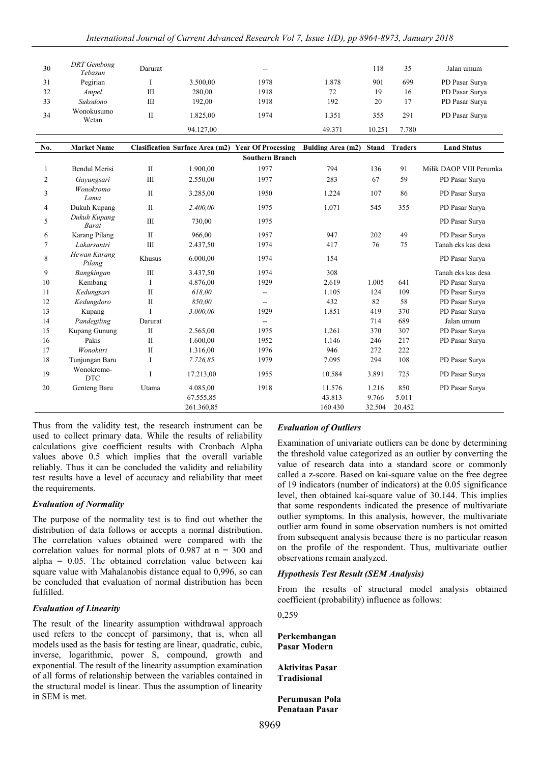| 30             | <b>DRT</b> Gembong<br>Tebasan | Darurat        |            | --                                                        |                   | 118          | 35             | Jalan umum              |
|----------------|-------------------------------|----------------|------------|-----------------------------------------------------------|-------------------|--------------|----------------|-------------------------|
| 31             | Pegirian                      | I              | 3.500.00   | 1978                                                      | 1.878             | 901          | 699            | PD Pasar Surva          |
| 32             | Ampel                         | III            | 280.00     | 1918                                                      | 72                | 19           | 16             | PD Pasar Surva          |
| 33             | Sukodono                      | $\mathbf{III}$ | 192,00     | 1918                                                      | 192               | 20           | 17             | PD Pasar Surva          |
| 34             | Wonokusumo<br>Wetan           | $\rm II$       | 1.825,00   | 1974                                                      | 1.351             | 355          | 291            | PD Pasar Surya          |
|                |                               |                | 94.127,00  |                                                           | 49.371            | 10.251       | 7.780          |                         |
|                |                               |                |            |                                                           |                   |              |                |                         |
| No.            | <b>Market Name</b>            |                |            | <b>Clasification Surface Area (m2) Year Of Processing</b> | Bulding Area (m2) | <b>Stand</b> | <b>Traders</b> | <b>Land Status</b>      |
|                |                               |                |            | <b>Southern Branch</b>                                    |                   |              |                |                         |
| 1              | <b>Bendul Merisi</b>          | $\mathbf{I}$   | 1.900,00   | 1977                                                      | 794               | 136          | 91             | Milik DAOP VIII Perumka |
| 2              | Gavungsari                    | $\mathbf{III}$ | 2.550.00   | 1977                                                      | 283               | 67           | 59             | PD Pasar Surya          |
| 3              | Wonokromo<br>Lama             | $\mathbf{I}$   | 3.285,00   | 1950                                                      | 1.224             | 107          | 86             | PD Pasar Surya          |
| $\overline{4}$ | Dukuh Kupang                  | $\mathbf{I}$   | 2.400,00   | 1975                                                      | 1.071             | 545          | 355            | PD Pasar Surya          |
| 5              | Dukuh Kupang<br><b>Barat</b>  | $\mathbf{III}$ | 730.00     | 1975                                                      |                   |              |                | PD Pasar Surya          |
| 6              | Karang Pilang                 | $\mathbf{I}$   | 966,00     | 1957                                                      | 947               | 202          | 49             | PD Pasar Surya          |
| $\tau$         | Lakarsantri                   | III            | 2.437,50   | 1974                                                      | 417               | 76           | 75             | Tanah eks kas desa      |
| 8              | Hewan Karang<br>Pilang        | Khusus         | 6.000,00   | 1974                                                      | 154               |              |                | PD Pasar Surya          |
| 9              | Bangkingan                    | Ш              | 3.437,50   | 1974                                                      | 308               |              |                | Tanah eks kas desa      |
| 10             | Kembang                       | I              | 4.876,00   | 1929                                                      | 2.619             | 1.005        | 641            | PD Pasar Surya          |
| 11             | Kedungsari                    | $\mathbf{I}$   | 618.00     | $\overline{\phantom{a}}$                                  | 1.105             | 124          | 109            | PD Pasar Surva          |
| 12             | Kedungdoro                    | $\mathbf{I}$   | 850.00     | $\overline{\phantom{a}}$                                  | 432               | 82           | 58             | PD Pasar Surya          |
| 13             | Kupang                        | I              | 3.000,00   | 1929                                                      | 1.851             | 419          | 370            | PD Pasar Surya          |
| 14             | Pandegiling                   | Darurat        |            | $\mathbf{L}$                                              |                   | 714          | 689            | Jalan umum              |
| 15             | Kupang Gunung                 | $\mathbf{I}$   | 2.565,00   | 1975                                                      | 1.261             | 370          | 307            | PD Pasar Surya          |
| 16             | Pakis                         | $\mathbf{I}$   | 1.600,00   | 1952                                                      | 1.146             | 246          | 217            | PD Pasar Surya          |
| 17             | Wonokitri                     | $\mathbf{I}$   | 1.316,00   | 1976                                                      | 946               | 272          | 222            |                         |
| 18             | Tunjungan Baru                | Ι              | 7.726,85   | 1979                                                      | 7.095             | 294          | 108            | PD Pasar Surya          |
| 19             | Wonokromo-<br><b>DTC</b>      | T              | 17.213,00  | 1955                                                      | 10.584            | 3.891        | 725            | PD Pasar Surya          |
| 20             | Genteng Baru                  | Utama          | 4.085,00   | 1918                                                      | 11.576            | 1.216        | 850            | PD Pasar Surya          |
|                |                               |                | 67.555,85  |                                                           | 43.813            | 9.766        | 5.011          |                         |
|                |                               |                | 261.360,85 |                                                           | 160.430           | 32.504       | 20.452         |                         |

Thus from the validity test, the research instrument can be used to collect primary data. While the results of reliability calculations give coefficient results with Cronbach Alpha values above 0.5 which implies that the overall variable reliably. Thus it can be concluded the validity and reliability test results have a level of accuracy and reliability that meet the requirements.

#### *Evaluation of Normality*

The purpose of the normality test is to find out whether the distribution of data follows or accepts a normal distribution. The correlation values obtained were compared with the correlation values for normal plots of 0.987 at  $n = 300$  and alpha = 0.05. The obtained correlation value between kai square value with Mahalanobis distance equal to 0,996, so can be concluded that evaluation of normal distribution has been fulfilled.

#### *Evaluation of Linearity*

The result of the linearity assumption withdrawal approach used refers to the concept of parsimony, that is, when all models used as the basis for testing are linear, quadratic, cubic, inverse, logarithmic, power S, compound, growth and exponential. The result of the linearity assumption examination of all forms of relationship between the variables contained in the structural model is linear. Thus the assumption of linearity in SEM is met.

#### *Evaluation of Outliers*

Examination of univariate outliers can be done by determining the threshold value categorized as an outlier by converting the value of research data into a standard score or commonly called a z-score. Based on kai-square value on the free degree of 19 indicators (number of indicators) at the 0.05 significance level, then obtained kai-square value of 30.144. This implies that some respondents indicated the presence of multivariate outlier symptoms. In this analysis, however, the multivariate outlier arm found in some observation numbers is not omitted from subsequent analysis because there is no particular reason on the profile of the respondent. Thus, multivariate outlier observations remain analyzed.

### *Hypothesis Test Result (SEM Analysis)*

From the results of structural model analysis obtained coefficient (probability) influence as follows:

0,259

**Perkembangan Pasar Modern**

**Aktivitas Pasar Tradisional**

**Perumusan Pola Penataan Pasar**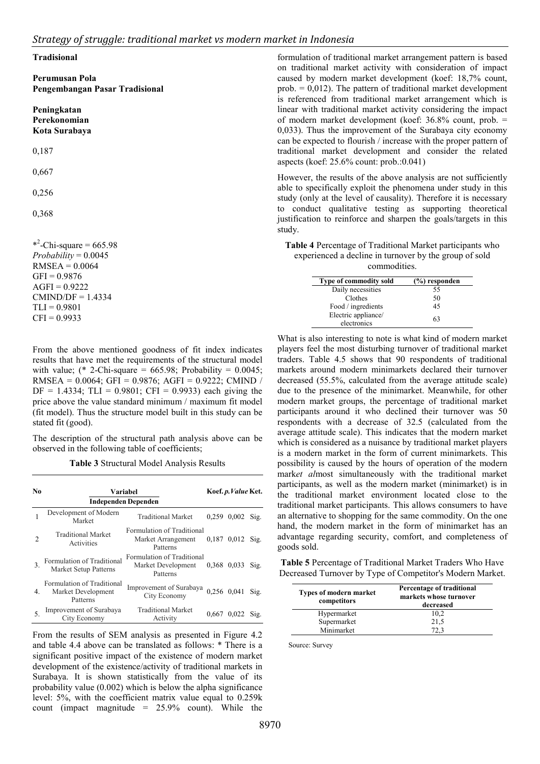#### **Tradisional**

**Perumusan Pola Pengembangan Pasar Tradisional**

#### **Peningkatan Perekonomian Kota Surabaya**

0,187

0,667

0,256

0,368

 $*^2$ -Chi-square = 665.98  $Probability = 0.0045$  $RMSEA = 0.0064$  $GFI = 0.9876$  $AGFI = 0.9222$  $CMIND/DF = 1.4334$  $TLI = 0.9801$  $CFI = 0.9933$ 

formulation of traditional market arrangement pattern is based on traditional market activity with consideration of impact caused by modern market development (koef: 18,7% count, prob.  $= 0.012$ ). The pattern of traditional market development is referenced from traditional market arrangement which is linear with traditional market activity considering the impact of modern market development (koef: 36.8% count, prob. = 0,033). Thus the improvement of the Surabaya city economy can be expected to flourish / increase with the proper pattern of traditional market development and consider the related aspects (koef: 25.6% count: prob.:0.041)

However, the results of the above analysis are not sufficiently able to specifically exploit the phenomena under study in this study (only at the level of causality). Therefore it is necessary to conduct qualitative testing as supporting theoretical justification to reinforce and sharpen the goals/targets in this study.

**Table 4** Percentage of Traditional Market participants who experienced a decline in turnover by the group of sold commodities.

| <b>Type of commodity sold</b> | (%) responden |
|-------------------------------|---------------|
| Daily necessities             | 55            |
| Clothes                       | 50            |
| Food / ingredients            | 45            |
| Electric appliance/           | 63            |
| electronics                   |               |

From the above mentioned goodness of fit index indicates results that have met the requirements of the structural model with value; (\* 2-Chi-square = 665.98; Probability =  $0.0045$ ; RMSEA = 0.0064; GFI = 0.9876; AGFI = 0.9222; CMIND /  $DF = 1.4334$ ;  $TLI = 0.9801$ ;  $CFI = 0.9933$ ) each giving the price above the value standard minimum / maximum fit model (fit model). Thus the structure model built in this study can be stated fit (good).

The description of the structural path analysis above can be observed in the following table of coefficients;

**Table 3** Structural Model Analysis Results

| No. |                                                              | <b>Variabel</b>                                              |             | Koef. p. Value Ket. |      |
|-----|--------------------------------------------------------------|--------------------------------------------------------------|-------------|---------------------|------|
|     |                                                              | <b>Independen Dependen</b>                                   |             |                     |      |
|     | Development of Modern<br>Market                              | <b>Traditional Market</b>                                    | 0.259       | $0.002$ Sig.        |      |
|     | <b>Traditional Market</b><br>Activities                      | Formulation of Traditional<br>Market Arrangement<br>Patterns | 0,187       | $0.012$ Sig.        |      |
| 3.  | Formulation of Traditional<br>Market Setup Patterns          | Formulation of Traditional<br>Market Development<br>Patterns | 0.368 0.033 |                     | Sig. |
| 4.  | Formulation of Traditional<br>Market Development<br>Patterns | Improvement of Surabaya<br>City Economy                      |             | 0,256 0,041 Sig.    |      |
| 5   | Improvement of Surabaya<br>City Economy                      | <b>Traditional Market</b><br>Activity                        | 0.667       | 0,022               | Sig. |

From the results of SEM analysis as presented in Figure 4.2 and table 4.4 above can be translated as follows: \* There is a significant positive impact of the existence of modern market development of the existence/activity of traditional markets in Surabaya. It is shown statistically from the value of its probability value (0.002) which is below the alpha significance level: 5%, with the coefficient matrix value equal to 0.259k count (impact magnitude = 25.9% count). While the

What is also interesting to note is what kind of modern market players feel the most disturbing turnover of traditional market traders. Table 4.5 shows that 90 respondents of traditional markets around modern minimarkets declared their turnover decreased (55.5%, calculated from the average attitude scale) due to the presence of the minimarket. Meanwhile, for other modern market groups, the percentage of traditional market participants around it who declined their turnover was 50 respondents with a decrease of 32.5 (calculated from the average attitude scale). This indicates that the modern market which is considered as a nuisance by traditional market players is a modern market in the form of current minimarkets. This possibility is caused by the hours of operation of the modern mark*et al*most simultaneously with the traditional market participants, as well as the modern market (minimarket) is in the traditional market environment located close to the traditional market participants. This allows consumers to have an alternative to shopping for the same commodity. On the one hand, the modern market in the form of minimarket has an advantage regarding security, comfort, and completeness of goods sold.

**Table 5** Percentage of Traditional Market Traders Who Have Decreased Turnover by Type of Competitor's Modern Market.

| <b>Types of modern market</b><br>competitors | Percentage of traditional<br>markets whose turnover<br>decreased |
|----------------------------------------------|------------------------------------------------------------------|
| Hypermarket                                  | 10.2                                                             |
| Supermarket                                  | 21,5                                                             |
| Minimarket                                   | 72.3                                                             |

Source: Survey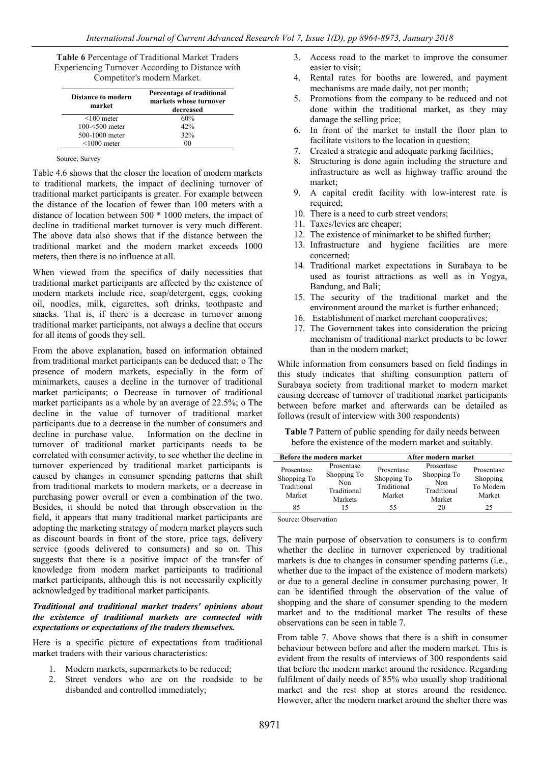**Table 6** Percentage of Traditional Market Traders Experiencing Turnover According to Distance with Competitor's modern Market.

| Distance to modern<br>market | Percentage of traditional<br>markets whose turnover<br>decreased |
|------------------------------|------------------------------------------------------------------|
| $< 100$ meter                | 60%                                                              |
| $100 - 500$ meter            | 42%                                                              |
| 500-1000 meter               | 32%                                                              |
| $\leq 1000$ meter            | 00                                                               |

#### Source; Survey

Table 4.6 shows that the closer the location of modern markets to traditional markets, the impact of declining turnover of traditional market participants is greater. For example between the distance of the location of fewer than 100 meters with a distance of location between 500 \* 1000 meters, the impact of decline in traditional market turnover is very much different. The above data also shows that if the distance between the traditional market and the modern market exceeds 1000 meters, then there is no influence at all.

When viewed from the specifics of daily necessities that traditional market participants are affected by the existence of modern markets include rice, soap/detergent, eggs, cooking oil, noodles, milk, cigarettes, soft drinks, toothpaste and snacks. That is, if there is a decrease in turnover among traditional market participants, not always a decline that occurs for all items of goods they sell.

From the above explanation, based on information obtained from traditional market participants can be deduced that; o The presence of modern markets, especially in the form of minimarkets, causes a decline in the turnover of traditional market participants; o Decrease in turnover of traditional market participants as a whole by an average of 22.5%; o The decline in the value of turnover of traditional market participants due to a decrease in the number of consumers and decline in purchase value. Information on the decline in Information on the decline in turnover of traditional market participants needs to be correlated with consumer activity, to see whether the decline in turnover experienced by traditional market participants is caused by changes in consumer spending patterns that shift from traditional markets to modern markets, or a decrease in purchasing power overall or even a combination of the two. Besides, it should be noted that through observation in the field, it appears that many traditional market participants are adopting the marketing strategy of modern market players such as discount boards in front of the store, price tags, delivery service (goods delivered to consumers) and so on. This suggests that there is a positive impact of the transfer of knowledge from modern market participants to traditional market participants, although this is not necessarily explicitly acknowledged by traditional market participants.

### *Traditional and traditional market traders' opinions about the existence of traditional markets are connected with expectations or expectations of the traders themselves.*

Here is a specific picture of expectations from traditional market traders with their various characteristics:

- 1. Modern markets, supermarkets to be reduced;
- 2. Street vendors who are on the roadside to be disbanded and controlled immediately;
- 3. Access road to the market to improve the consumer easier to visit;
- 4. Rental rates for booths are lowered, and payment mechanisms are made daily, not per month;
- 5. Promotions from the company to be reduced and not done within the traditional market, as they may damage the selling price;
- 6. In front of the market to install the floor plan to facilitate visitors to the location in question;
- 7. Created a strategic and adequate parking facilities;
- 8. Structuring is done again including the structure and infrastructure as well as highway traffic around the market;
- 9. A capital credit facility with low-interest rate is required;
- 10. There is a need to curb street vendors;
- 11. Taxes/levies are cheaper;
- 12. The existence of minimarket to be shifted further;
- 13. Infrastructure and hygiene facilities are more concerned;
- 14. Traditional market expectations in Surabaya to be used as tourist attractions as well as in Yogya, Bandung, and Bali;
- 15. The security of the traditional market and the environment around the market is further enhanced;
- 16. Establishment of market merchant cooperatives;
- 17. The Government takes into consideration the pricing mechanism of traditional market products to be lower than in the modern market;

While information from consumers based on field findings in this study indicates that shifting consumption pattern of Surabaya society from traditional market to modern market causing decrease of turnover of traditional market participants between before market and afterwards can be detailed as follows (result of interview with 300 respondents)

**Table 7** Pattern of public spending for daily needs between before the existence of the modern market and suitably.

|                                                    | <b>Before the modern market</b>                            |                                                    | After modern market                                       |                                               |
|----------------------------------------------------|------------------------------------------------------------|----------------------------------------------------|-----------------------------------------------------------|-----------------------------------------------|
| Prosentase<br>Shopping To<br>Traditional<br>Market | Prosentase<br>Shopping To<br>Non<br>Traditional<br>Markets | Prosentase<br>Shopping To<br>Traditional<br>Market | Prosentase<br>Shopping To<br>Non<br>Traditional<br>Market | Prosentase<br>Shopping<br>To Modern<br>Market |
| 85                                                 |                                                            | 55                                                 | 20                                                        | 25                                            |

Source: Observation

The main purpose of observation to consumers is to confirm whether the decline in turnover experienced by traditional markets is due to changes in consumer spending patterns (i.e., whether due to the impact of the existence of modern markets) or due to a general decline in consumer purchasing power. It can be identified through the observation of the value of shopping and the share of consumer spending to the modern market and to the traditional market The results of these observations can be seen in table 7.

From table 7. Above shows that there is a shift in consumer behaviour between before and after the modern market. This is evident from the results of interviews of 300 respondents said that before the modern market around the residence. Regarding fulfilment of daily needs of 85% who usually shop traditional market and the rest shop at stores around the residence. However, after the modern market around the shelter there was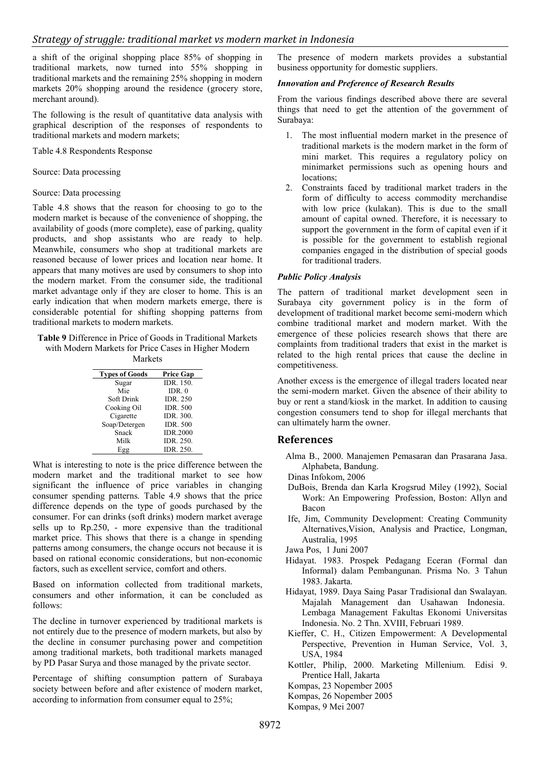a shift of the original shopping place 85% of shopping in traditional markets, now turned into 55% shopping in traditional markets and the remaining 25% shopping in modern markets 20% shopping around the residence (grocery store, merchant around).

The following is the result of quantitative data analysis with graphical description of the responses of respondents to traditional markets and modern markets;

Table 4.8 Respondents Response

Source: Data processing

### Source: Data processing

Table 4.8 shows that the reason for choosing to go to the modern market is because of the convenience of shopping, the availability of goods (more complete), ease of parking, quality products, and shop assistants who are ready to help. Meanwhile, consumers who shop at traditional markets are reasoned because of lower prices and location near home. It appears that many motives are used by consumers to shop into the modern market. From the consumer side, the traditional market advantage only if they are closer to home. This is an early indication that when modern markets emerge, there is considerable potential for shifting shopping patterns from traditional markets to modern markets.

**Table 9** Difference in Price of Goods in Traditional Markets with Modern Markets for Price Cases in Higher Modern

Markets

| <b>Types of Goods</b> | <b>Price Gap</b> |
|-----------------------|------------------|
| Sugar                 | IDR. 150.        |
| Mie                   | IDR $\theta$     |
| Soft Drink            | <b>IDR. 250</b>  |
| Cooking Oil           | <b>IDR. 500</b>  |
| Cigarette             | <b>IDR. 300.</b> |
| Soap/Detergen         | <b>IDR. 500</b>  |
| Snack                 | <b>IDR.2000</b>  |
| Milk                  | IDR. 250.        |
| Egg                   | IDR. 250.        |

What is interesting to note is the price difference between the modern market and the traditional market to see how significant the influence of price variables in changing consumer spending patterns. Table 4.9 shows that the price difference depends on the type of goods purchased by the consumer. For can drinks (soft drinks) modern market average sells up to Rp.250, - more expensive than the traditional market price. This shows that there is a change in spending patterns among consumers, the change occurs not because it is based on rational economic considerations, but non-economic factors, such as excellent service, comfort and others.

Based on information collected from traditional markets, consumers and other information, it can be concluded as follows:

The decline in turnover experienced by traditional markets is not entirely due to the presence of modern markets, but also by the decline in consumer purchasing power and competition among traditional markets, both traditional markets managed by PD Pasar Surya and those managed by the private sector.

Percentage of shifting consumption pattern of Surabaya society between before and after existence of modern market, according to information from consumer equal to 25%;

The presence of modern markets provides a substantial business opportunity for domestic suppliers.

### *Innovation and Preference of Research Results*

From the various findings described above there are several things that need to get the attention of the government of Surabaya:

- 1. The most influential modern market in the presence of traditional markets is the modern market in the form of mini market. This requires a regulatory policy on minimarket permissions such as opening hours and locations;
- 2. Constraints faced by traditional market traders in the form of difficulty to access commodity merchandise with low price (kulakan). This is due to the small amount of capital owned. Therefore, it is necessary to support the government in the form of capital even if it is possible for the government to establish regional companies engaged in the distribution of special goods for traditional traders.

### *Public Policy Analysis*

The pattern of traditional market development seen in Surabaya city government policy is in the form of development of traditional market become semi-modern which combine traditional market and modern market. With the emergence of these policies research shows that there are complaints from traditional traders that exist in the market is related to the high rental prices that cause the decline in competitiveness.

Another excess is the emergence of illegal traders located near the semi-modern market. Given the absence of their ability to buy or rent a stand/kiosk in the market. In addition to causing congestion consumers tend to shop for illegal merchants that can ultimately harm the owner.

# **References**

- Alma B., 2000. Manajemen Pemasaran dan Prasarana Jasa. Alphabeta, Bandung.
- Dinas Infokom, 2006
- DuBois, Brenda dan Karla Krogsrud Miley (1992), Social Work: An Empowering Profession, Boston: Allyn and Bacon
- Ife, Jim, Community Development: Creating Community Alternatives,Vision, Analysis and Practice, Longman, Australia, 1995
- Jawa Pos, 1 Juni 2007
- Hidayat. 1983. Prospek Pedagang Eceran (Formal dan Informal) dalam Pembangunan. Prisma No. 3 Tahun 1983. Jakarta.
- Hidayat, 1989. Daya Saing Pasar Tradisional dan Swalayan. Majalah Management dan Usahawan Indonesia. Lembaga Management Fakultas Ekonomi Universitas Indonesia. No. 2 Thn. XVIII, Februari 1989.
- Kieffer, C. H., Citizen Empowerment: A Developmental Perspective, Prevention in Human Service, Vol. 3, USA, 1984
- Kottler, Philip, 2000. Marketing Millenium*.* Edisi 9. Prentice Hall, Jakarta

Kompas, 23 Nopember 2005

Kompas, 26 Nopember 2005

Kompas, 9 Mei 2007